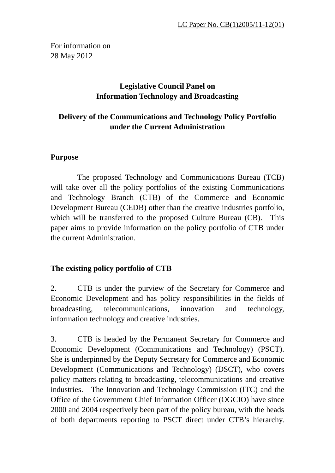For information on 28 May 2012

# **Legislative Council Panel on Information Technology and Broadcasting**

# **Delivery of the Communications and Technology Policy Portfolio under the Current Administration**

## **Purpose**

 The proposed Technology and Communications Bureau (TCB) will take over all the policy portfolios of the existing Communications and Technology Branch (CTB) of the Commerce and Economic Development Bureau (CEDB) other than the creative industries portfolio, which will be transferred to the proposed Culture Bureau (CB). This paper aims to provide information on the policy portfolio of CTB under the current Administration.

# **The existing policy portfolio of CTB**

2. CTB is under the purview of the Secretary for Commerce and Economic Development and has policy responsibilities in the fields of broadcasting, telecommunications, innovation and technology, information technology and creative industries.

3. CTB is headed by the Permanent Secretary for Commerce and Economic Development (Communications and Technology) (PSCT). She is underpinned by the Deputy Secretary for Commerce and Economic Development (Communications and Technology) (DSCT), who covers policy matters relating to broadcasting, telecommunications and creative industries. The Innovation and Technology Commission (ITC) and the Office of the Government Chief Information Officer (OGCIO) have since 2000 and 2004 respectively been part of the policy bureau, with the heads of both departments reporting to PSCT direct under CTB's hierarchy.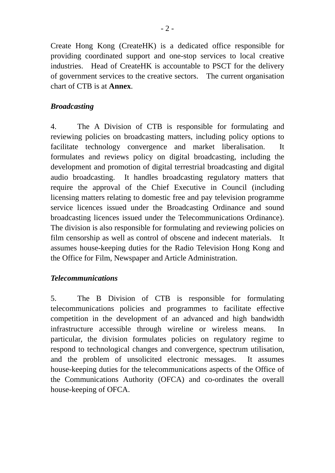Create Hong Kong (CreateHK) is a dedicated office responsible for providing coordinated support and one-stop services to local creative industries. Head of CreateHK is accountable to PSCT for the delivery of government services to the creative sectors. The current organisation chart of CTB is at **Annex**.

## *Broadcasting*

4. The A Division of CTB is responsible for formulating and reviewing policies on broadcasting matters, including policy options to facilitate technology convergence and market liberalisation. It formulates and reviews policy on digital broadcasting, including the development and promotion of digital terrestrial broadcasting and digital audio broadcasting. It handles broadcasting regulatory matters that require the approval of the Chief Executive in Council (including licensing matters relating to domestic free and pay television programme service licences issued under the Broadcasting Ordinance and sound broadcasting licences issued under the Telecommunications Ordinance). The division is also responsible for formulating and reviewing policies on film censorship as well as control of obscene and indecent materials. It assumes house-keeping duties for the Radio Television Hong Kong and the Office for Film, Newspaper and Article Administration.

### *Telecommunications*

5. The B Division of CTB is responsible for formulating telecommunications policies and programmes to facilitate effective competition in the development of an advanced and high bandwidth infrastructure accessible through wireline or wireless means. In particular, the division formulates policies on regulatory regime to respond to technological changes and convergence, spectrum utilisation, and the problem of unsolicited electronic messages. It assumes house-keeping duties for the telecommunications aspects of the Office of the Communications Authority (OFCA) and co-ordinates the overall house-keeping of OFCA.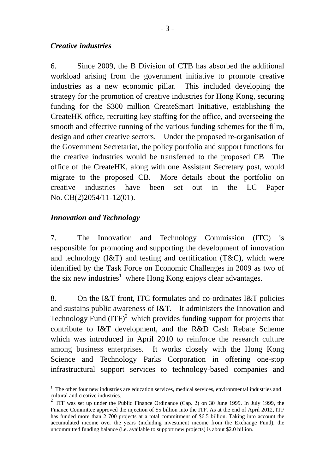#### *Creative industries*

6. Since 2009, the B Division of CTB has absorbed the additional workload arising from the government initiative to promote creative industries as a new economic pillar. This included developing the strategy for the promotion of creative industries for Hong Kong, securing funding for the \$300 million CreateSmart Initiative, establishing the CreateHK office, recruiting key staffing for the office, and overseeing the smooth and effective running of the various funding schemes for the film, design and other creative sectors. Under the proposed re-organisation of the Government Secretariat, the policy portfolio and support functions for the creative industries would be transferred to the proposed CB The office of the CreateHK, along with one Assistant Secretary post, would migrate to the proposed CB. More details about the portfolio on creative industries have been set out in the LC Paper No. CB(2)2054/11-12(01).

## *Innovation and Technology*

1

7. The Innovation and Technology Commission (ITC) is responsible for promoting and supporting the development of innovation and technology  $(I&T)$  and testing and certification  $(T&C)$ , which were identified by the Task Force on Economic Challenges in 2009 as two of the six new industries<sup>1</sup> where Hong Kong enjoys clear advantages.

8. On the I&T front, ITC formulates and co-ordinates I&T policies and sustains public awareness of I&T. It administers the Innovation and Technology Fund  ${(ITF)}^2$  which provides funding support for projects that contribute to I&T development, and the R&D Cash Rebate Scheme which was introduced in April 2010 to reinforce the research culture among business enterprises. It works closely with the Hong Kong Science and Technology Parks Corporation in offering one-stop infrastructural support services to technology-based companies and

<sup>&</sup>lt;sup>1</sup> The other four new industries are education services, medical services, environmental industries and cultural and creative industries.

<sup>2</sup> ITF was set up under the Public Finance Ordinance (Cap. 2) on 30 June 1999. In July 1999, the Finance Committee approved the injection of \$5 billion into the ITF. As at the end of April 2012, ITF has funded more than 2 700 projects at a total commitment of \$6.5 billion. Taking into account the accumulated income over the years (including investment income from the Exchange Fund), the uncommitted funding balance (i.e. available to support new projects) is about \$2.0 billion.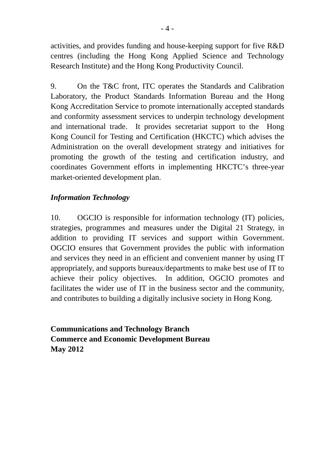activities, and provides funding and house-keeping support for five R&D centres (including the Hong Kong Applied Science and Technology Research Institute) and the Hong Kong Productivity Council.

9. On the T&C front, ITC operates the Standards and Calibration Laboratory, the Product Standards Information Bureau and the Hong Kong Accreditation Service to promote internationally accepted standards and conformity assessment services to underpin technology development and international trade. It provides secretariat support to the Hong Kong Council for Testing and Certification (HKCTC) which advises the Administration on the overall development strategy and initiatives for promoting the growth of the testing and certification industry, and coordinates Government efforts in implementing HKCTC's three-year market-oriented development plan.

## *Information Technology*

10. OGCIO is responsible for information technology (IT) policies, strategies, programmes and measures under the Digital 21 Strategy, in addition to providing IT services and support within Government. OGCIO ensures that Government provides the public with information and services they need in an efficient and convenient manner by using IT appropriately, and supports bureaux/departments to make best use of IT to achieve their policy objectives. In addition, OGCIO promotes and facilitates the wider use of IT in the business sector and the community, and contributes to building a digitally inclusive society in Hong Kong.

**Communications and Technology Branch Commerce and Economic Development Bureau May 2012**